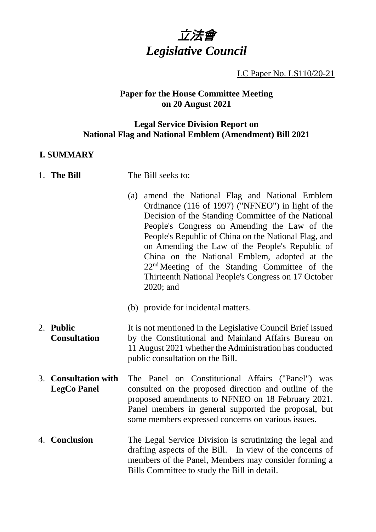

LC Paper No. LS110/20-21

#### **Paper for the House Committee Meeting on 20 August 2021**

#### **Legal Service Division Report on National Flag and National Emblem (Amendment) Bill 2021**

#### **I. SUMMARY**

- 1. **The Bill** The Bill seeks to:
	- (a) amend the National Flag and National Emblem Ordinance (116 of 1997) ("NFNEO") in light of the Decision of the Standing Committee of the National People's Congress on Amending the Law of the People's Republic of China on the National Flag, and on Amending the Law of the People's Republic of China on the National Emblem, adopted at the 22nd Meeting of the Standing Committee of the Thirteenth National People's Congress on 17 October 2020; and
	- (b) provide for incidental matters.
- 2. **Public Consultation** It is not mentioned in the Legislative Council Brief issued by the Constitutional and Mainland Affairs Bureau on 11 August 2021 whether the Administration has conducted public consultation on the Bill.
- 3. **Consultation with LegCo Panel** The Panel on Constitutional Affairs ("Panel") was consulted on the proposed direction and outline of the proposed amendments to NFNEO on 18 February 2021. Panel members in general supported the proposal, but some members expressed concerns on various issues.
- 4. **Conclusion** The Legal Service Division is scrutinizing the legal and drafting aspects of the Bill. In view of the concerns of members of the Panel, Members may consider forming a Bills Committee to study the Bill in detail.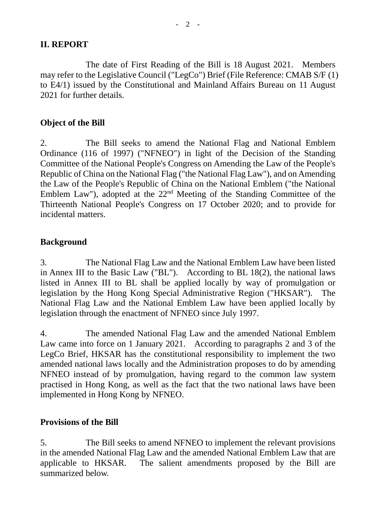#### **II. REPORT**

The date of First Reading of the Bill is 18 August 2021. Members may refer to the Legislative Council ("LegCo") Brief (File Reference: CMAB S/F (1) to E4/1) issued by the Constitutional and Mainland Affairs Bureau on 11 August 2021 for further details.

#### **Object of the Bill**

2. The Bill seeks to amend the National Flag and National Emblem Ordinance (116 of 1997) ("NFNEO") in light of the Decision of the Standing Committee of the National People's Congress on Amending the Law of the People's Republic of China on the National Flag ("the National Flag Law"), and on Amending the Law of the People's Republic of China on the National Emblem ("the National Emblem Law"), adopted at the 22nd Meeting of the Standing Committee of the Thirteenth National People's Congress on 17 October 2020; and to provide for incidental matters.

### **Background**

3. The National Flag Law and the National Emblem Law have been listed in Annex III to the Basic Law ("BL"). According to BL 18(2), the national laws listed in Annex III to BL shall be applied locally by way of promulgation or legislation by the Hong Kong Special Administrative Region ("HKSAR"). The National Flag Law and the National Emblem Law have been applied locally by legislation through the enactment of NFNEO since July 1997.

4. The amended National Flag Law and the amended National Emblem Law came into force on 1 January 2021. According to paragraphs 2 and 3 of the LegCo Brief, HKSAR has the constitutional responsibility to implement the two amended national laws locally and the Administration proposes to do by amending NFNEO instead of by promulgation, having regard to the common law system practised in Hong Kong, as well as the fact that the two national laws have been implemented in Hong Kong by NFNEO.

#### **Provisions of the Bill**

5. The Bill seeks to amend NFNEO to implement the relevant provisions in the amended National Flag Law and the amended National Emblem Law that are applicable to HKSAR. The salient amendments proposed by the Bill are summarized below.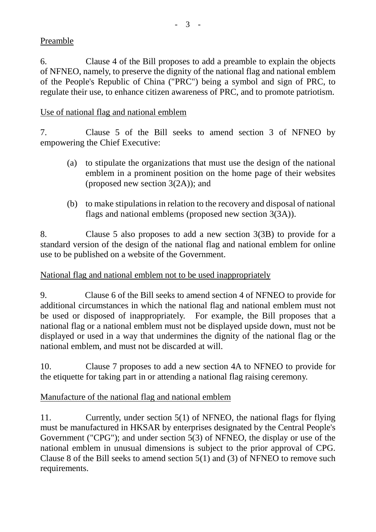# Preamble

6. Clause 4 of the Bill proposes to add a preamble to explain the objects of NFNEO, namely, to preserve the dignity of the national flag and national emblem of the People's Republic of China ("PRC") being a symbol and sign of PRC, to regulate their use, to enhance citizen awareness of PRC, and to promote patriotism.

# Use of national flag and national emblem

7. Clause 5 of the Bill seeks to amend section 3 of NFNEO by empowering the Chief Executive:

- (a) to stipulate the organizations that must use the design of the national emblem in a prominent position on the home page of their websites (proposed new section 3(2A)); and
- (b) to make stipulations in relation to the recovery and disposal of national flags and national emblems (proposed new section 3(3A)).

8. Clause 5 also proposes to add a new section 3(3B) to provide for a standard version of the design of the national flag and national emblem for online use to be published on a website of the Government.

# National flag and national emblem not to be used inappropriately

9. Clause 6 of the Bill seeks to amend section 4 of NFNEO to provide for additional circumstances in which the national flag and national emblem must not be used or disposed of inappropriately. For example, the Bill proposes that a national flag or a national emblem must not be displayed upside down, must not be displayed or used in a way that undermines the dignity of the national flag or the national emblem, and must not be discarded at will.

10. Clause 7 proposes to add a new section 4A to NFNEO to provide for the etiquette for taking part in or attending a national flag raising ceremony.

# Manufacture of the national flag and national emblem

11. Currently, under section 5(1) of NFNEO, the national flags for flying must be manufactured in HKSAR by enterprises designated by the Central People's Government ("CPG"); and under section 5(3) of NFNEO, the display or use of the national emblem in unusual dimensions is subject to the prior approval of CPG. Clause 8 of the Bill seeks to amend section 5(1) and (3) of NFNEO to remove such requirements.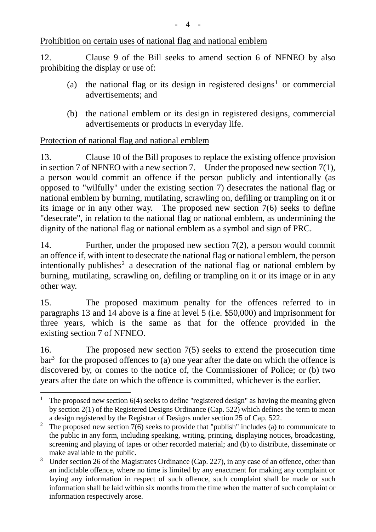### Prohibition on certain uses of national flag and national emblem

12. Clause 9 of the Bill seeks to amend section 6 of NFNEO by also prohibiting the display or use of:

- (a) the national flag or its design in registered designs<sup>[1](#page-3-0)</sup> or commercial advertisements; and
- (b) the national emblem or its design in registered designs, commercial advertisements or products in everyday life.

### Protection of national flag and national emblem

13. Clause 10 of the Bill proposes to replace the existing offence provision in section 7 of NFNEO with a new section 7. Under the proposed new section 7(1), a person would commit an offence if the person publicly and intentionally (as opposed to "wilfully" under the existing section 7) desecrates the national flag or national emblem by burning, mutilating, scrawling on, defiling or trampling on it or its image or in any other way. The proposed new section 7(6) seeks to define "desecrate", in relation to the national flag or national emblem, as undermining the dignity of the national flag or national emblem as a symbol and sign of PRC.

14. Further, under the proposed new section 7(2), a person would commit an offence if, with intent to desecrate the national flag or national emblem, the person intentionally publishes<sup>[2](#page-3-1)</sup> a desecration of the national flag or national emblem by burning, mutilating, scrawling on, defiling or trampling on it or its image or in any other way.

15. The proposed maximum penalty for the offences referred to in paragraphs 13 and 14 above is a fine at level 5 (i.e. \$50,000) and imprisonment for three years, which is the same as that for the offence provided in the existing section 7 of NFNEO.

16. The proposed new section 7(5) seeks to extend the prosecution time  $bar<sup>3</sup>$  $bar<sup>3</sup>$  $bar<sup>3</sup>$  for the proposed offences to (a) one year after the date on which the offence is discovered by, or comes to the notice of, the Commissioner of Police; or (b) two years after the date on which the offence is committed, whichever is the earlier.

<span id="page-3-0"></span><sup>&</sup>lt;sup>1</sup> The proposed new section 6(4) seeks to define "registered design" as having the meaning given by section 2(1) of the Registered Designs Ordinance (Cap. 522) which defines the term to mean

<span id="page-3-1"></span>a design registered by the Registrar of Designs under section 25 of Cap. 522.<br><sup>2</sup> The proposed new section 7(6) seeks to provide that "publish" includes (a) to communicate to the public in any form, including speaking, writing, printing, displaying notices, broadcasting, screening and playing of tapes or other recorded material; and (b) to distribute, disseminate or make available to the public.

<span id="page-3-2"></span><sup>&</sup>lt;sup>3</sup> Under section 26 of the Magistrates Ordinance (Cap. 227), in any case of an offence, other than an indictable offence, where no time is limited by any enactment for making any complaint or laying any information in respect of such offence, such complaint shall be made or such information shall be laid within six months from the time when the matter of such complaint or information respectively arose.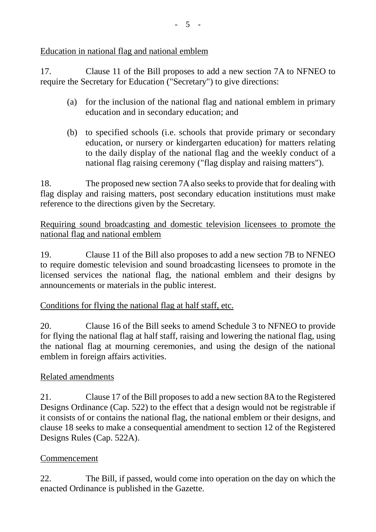Education in national flag and national emblem

17. Clause 11 of the Bill proposes to add a new section 7A to NFNEO to require the Secretary for Education ("Secretary") to give directions:

- (a) for the inclusion of the national flag and national emblem in primary education and in secondary education; and
- (b) to specified schools (i.e. schools that provide primary or secondary education, or nursery or kindergarten education) for matters relating to the daily display of the national flag and the weekly conduct of a national flag raising ceremony ("flag display and raising matters").

18. The proposed new section 7A also seeks to provide that for dealing with flag display and raising matters, post secondary education institutions must make reference to the directions given by the Secretary.

Requiring sound broadcasting and domestic television licensees to promote the national flag and national emblem

19. Clause 11 of the Bill also proposes to add a new section 7B to NFNEO to require domestic television and sound broadcasting licensees to promote in the licensed services the national flag, the national emblem and their designs by announcements or materials in the public interest.

# Conditions for flying the national flag at half staff, etc.

20. Clause 16 of the Bill seeks to amend Schedule 3 to NFNEO to provide for flying the national flag at half staff, raising and lowering the national flag, using the national flag at mourning ceremonies, and using the design of the national emblem in foreign affairs activities.

### Related amendments

21. Clause 17 of the Bill proposes to add a new section 8A to the Registered Designs Ordinance (Cap. 522) to the effect that a design would not be registrable if it consists of or contains the national flag, the national emblem or their designs, and clause 18 seeks to make a consequential amendment to section 12 of the Registered Designs Rules (Cap. 522A).

### Commencement

22. The Bill, if passed, would come into operation on the day on which the enacted Ordinance is published in the Gazette.